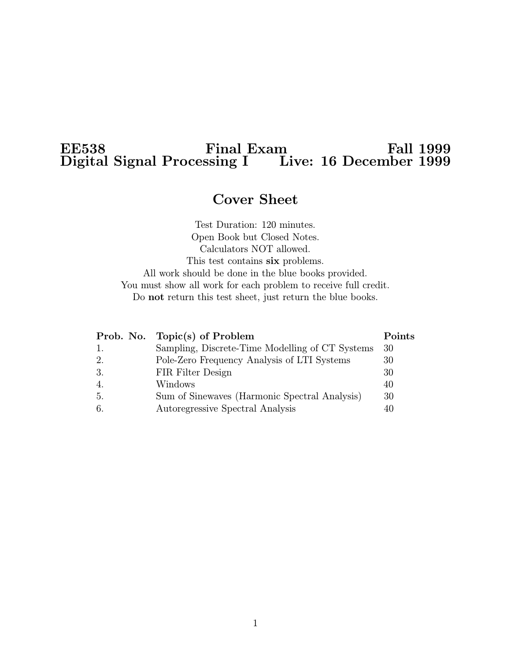# $E$ E $\approx$  Final Exam Fall 1999 Digital Signal Processing I Live: 16 December 1999

# Cover Sheet

Test Duration: 120 minutes. Open Book but Closed Notes. Calculators NOT allowed. This test contains six problems. All work should be done in the blue books provided. You must show all work for each problem to receive full credit. Do not return this test sheet, just return the blue books.

|                  | Prob. No. Topic(s) of Problem                   | Points |
|------------------|-------------------------------------------------|--------|
| 1.               | Sampling, Discrete-Time Modelling of CT Systems | 30     |
| 2.               | Pole-Zero Frequency Analysis of LTI Systems     | 30     |
| 3.               | FIR Filter Design                               | 30     |
| $\overline{4}$ . | Windows                                         | 40     |
| 5.               | Sum of Sinewaves (Harmonic Spectral Analysis)   | 30     |
| 6.               | Autoregressive Spectral Analysis                | 40     |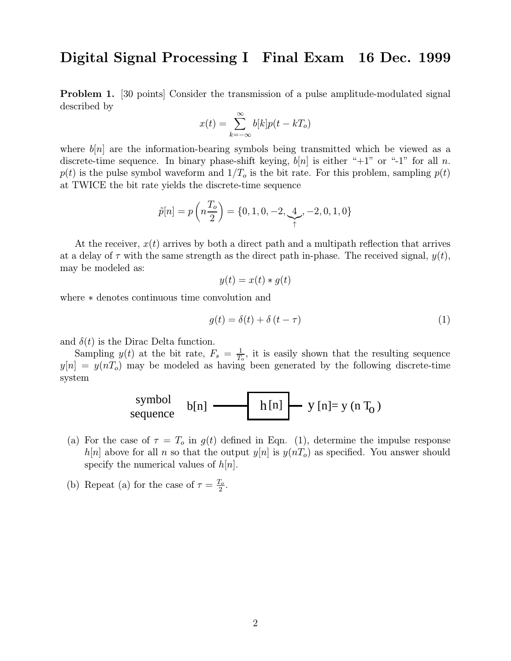Problem 1. [30 points] Consider the transmission of a pulse amplitude-modulated signal described by

$$
x(t) = \sum_{k=-\infty}^{\infty} b[k]p(t - kT_o)
$$

where  $b[n]$  are the information-bearing symbols being transmitted which be viewed as a discrete-time sequence. In binary phase-shift keying,  $b[n]$  is either "+1" or "-1" for all n.  $p(t)$  is the pulse symbol waveform and  $1/T_0$  is the bit rate. For this problem, sampling  $p(t)$ at TWICE the bit rate yields the discrete-time sequence

$$
\tilde{p}[n] = p\left(n\frac{T_o}{2}\right) = \{0, 1, 0, -2, \underbrace{4}_{\uparrow}, -2, 0, 1, 0\}
$$

At the receiver,  $x(t)$  arrives by both a direct path and a multipath reflection that arrives at a delay of  $\tau$  with the same strength as the direct path in-phase. The received signal,  $y(t)$ , may be modeled as:

$$
y(t) = x(t) * g(t)
$$

where ∗ denotes continuous time convolution and

$$
g(t) = \delta(t) + \delta(t - \tau) \tag{1}
$$

and  $\delta(t)$  is the Dirac Delta function.

Sampling  $y(t)$  at the bit rate,  $F_s = \frac{1}{T_o}$ , it is easily shown that the resulting sequence  $y[n] = y(nT_o)$  may be modeled as having been generated by the following discrete-time system

$$
\begin{array}{c}\n\text{symbol} \\
\text{sequence} \\
\text{sequence}\n\end{array}\n\quad\n\begin{array}{c}\n\text{b[n]} \longrightarrow \text{h[n]} \\
\text{h[n]} \longrightarrow \text{y[n]= y (n T_0)\n\end{array}
$$

- (a) For the case of  $\tau = T_o$  in  $g(t)$  defined in Eqn. (1), determine the impulse response  $h[n]$  above for all n so that the output  $y[n]$  is  $y(nT<sub>o</sub>)$  as specified. You answer should specify the numerical values of  $h[n]$ .
- (b) Repeat (a) for the case of  $\tau = \frac{T_o}{2}$ .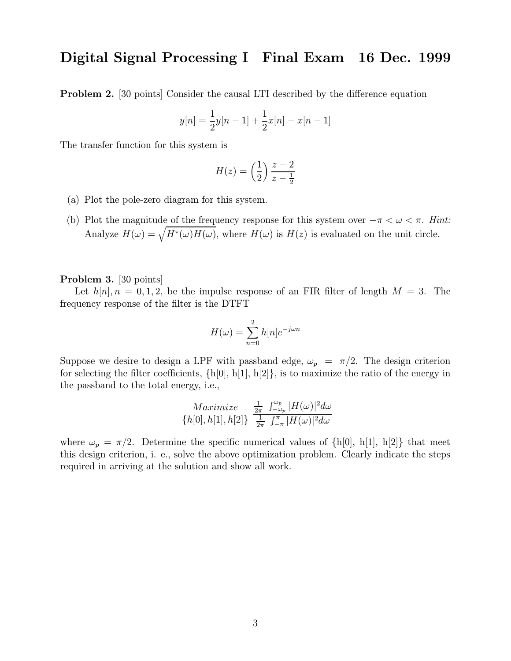Problem 2. [30 points] Consider the causal LTI described by the difference equation

$$
y[n] = \frac{1}{2}y[n-1] + \frac{1}{2}x[n] - x[n-1]
$$

The transfer function for this system is

$$
H(z) = \left(\frac{1}{2}\right) \frac{z-2}{z-\frac{1}{2}}
$$

- (a) Plot the pole-zero diagram for this system.
- (b) Plot the magnitude of the frequency response for this system over  $-\pi < \omega < \pi$ . Hint: Analyze  $H(\omega) = \sqrt{H^*(\omega)H(\omega)}$ , where  $H(\omega)$  is  $H(z)$  is evaluated on the unit circle.

#### Problem 3. [30 points]

Let  $h[n], n = 0, 1, 2$ , be the impulse response of an FIR filter of length  $M = 3$ . The frequency response of the filter is the DTFT

$$
H(\omega) = \sum_{n=0}^{2} h[n]e^{-j\omega n}
$$

Suppose we desire to design a LPF with passband edge,  $\omega_p = \pi/2$ . The design criterion for selecting the filter coefficients,  $\{h[0], h[1], h[2]\}$ , is to maximize the ratio of the energy in the passband to the total energy, i.e.,

$$
\begin{array}{cc}\nMaximize & \frac{1}{2\pi} \int_{-\omega_p}^{\omega_p} |H(\omega)|^2 d\omega \\
\{h[0], h[1], h[2]\} & \frac{1}{2\pi} \int_{-\pi}^{\pi} |H(\omega)|^2 d\omega\n\end{array}
$$

where  $\omega_p = \pi/2$ . Determine the specific numerical values of  $\{h[0], h[1], h[2]\}$  that meet this design criterion, i. e., solve the above optimization problem. Clearly indicate the steps required in arriving at the solution and show all work.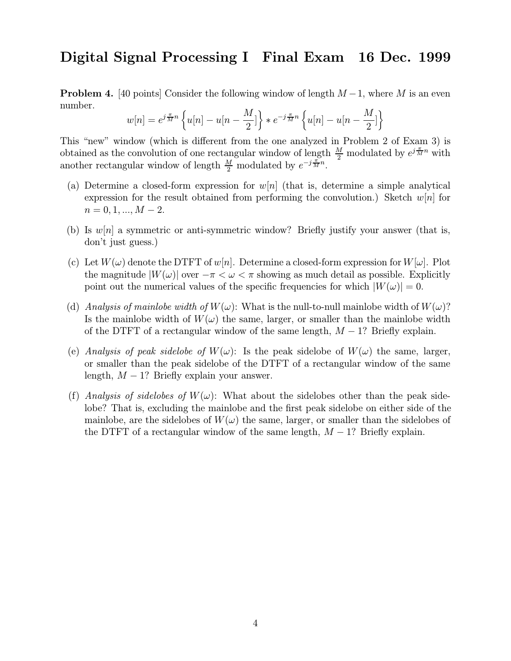**Problem 4.** [40 points] Consider the following window of length  $M-1$ , where M is an even number.

$$
w[n] = e^{j\frac{\pi}{M}n} \left\{ u[n] - u[n - \frac{M}{2}] \right\} * e^{-j\frac{\pi}{M}n} \left\{ u[n] - u[n - \frac{M}{2}] \right\}
$$

This "new" window (which is different from the one analyzed in Problem 2 of Exam 3) is obtained as the convolution of one rectangular window of length  $\frac{M}{2}$  modulated by  $e^{j\frac{\pi}{M}n}$  with another rectangular window of length  $\frac{M}{2}$  modulated by  $e^{-j\frac{\pi}{M}n}$ .

- (a) Determine a closed-form expression for  $w[n]$  (that is, determine a simple analytical expression for the result obtained from performing the convolution.) Sketch  $w[n]$  for  $n = 0, 1, ..., M - 2.$
- (b) Is  $w[n]$  a symmetric or anti-symmetric window? Briefly justify your answer (that is, don't just guess.)
- (c) Let  $W(\omega)$  denote the DTFT of  $w[n]$ . Determine a closed-form expression for  $W[\omega]$ . Plot the magnitude  $|W(\omega)|$  over  $-\pi < \omega < \pi$  showing as much detail as possible. Explicitly point out the numerical values of the specific frequencies for which  $|W(\omega)| = 0$ .
- (d) Analysis of mainlobe width of  $W(\omega)$ : What is the null-to-null mainlobe width of  $W(\omega)$ ? Is the mainlobe width of  $W(\omega)$  the same, larger, or smaller than the mainlobe width of the DTFT of a rectangular window of the same length,  $M - 1$ ? Briefly explain.
- (e) Analysis of peak sidelobe of  $W(\omega)$ : Is the peak sidelobe of  $W(\omega)$  the same, larger, or smaller than the peak sidelobe of the DTFT of a rectangular window of the same length,  $M - 1$ ? Briefly explain your answer.
- (f) Analysis of sidelobes of  $W(\omega)$ : What about the sidelobes other than the peak sidelobe? That is, excluding the mainlobe and the first peak sidelobe on either side of the mainlobe, are the sidelobes of  $W(\omega)$  the same, larger, or smaller than the sidelobes of the DTFT of a rectangular window of the same length,  $M-1$ ? Briefly explain.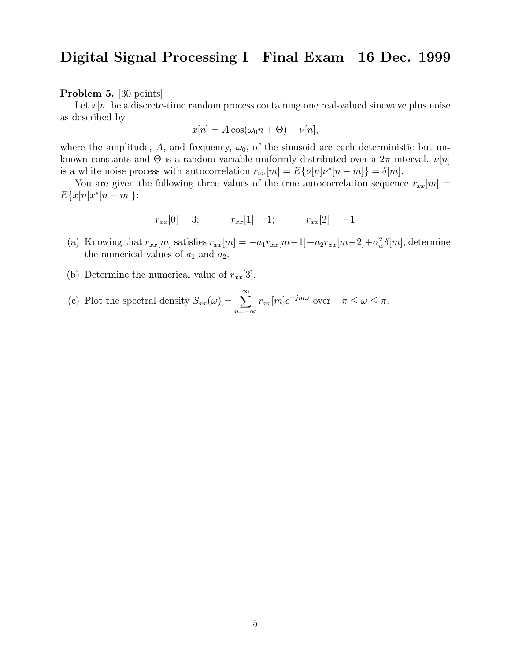Problem 5. [30 points]

Let  $x[n]$  be a discrete-time random process containing one real-valued sinewave plus noise as described by

$$
x[n] = A\cos(\omega_0 n + \Theta) + \nu[n],
$$

where the amplitude, A, and frequency,  $\omega_0$ , of the sinusoid are each deterministic but unknown constants and  $\Theta$  is a random variable uniformly distributed over a  $2\pi$  interval.  $\nu[n]$ is a white noise process with autocorrelation  $r_{\nu\bar{\nu}}[m] = E\{\nu[n]\nu^*[n-m]\} = \delta[m].$ 

You are given the following three values of the true autocorrelation sequence  $r_{xx}[m] =$  $E\{x[n]x^{*}[n-m]\}$ :

$$
r_{xx}[0] = 3; \t r_{xx}[1] = 1; \t r_{xx}[2] = -1
$$

- (a) Knowing that  $r_{xx}[m]$  satisfies  $r_{xx}[m] = -a_1r_{xx}[m-1] a_2r_{xx}[m-2] + \sigma_w^2\delta[m]$ , determine the numerical values of  $a_1$  and  $a_2$ .
- (b) Determine the numerical value of  $r_{xx}[3]$ .
- (c) Plot the spectral density  $S_{xx}(\omega) = \sum_{n=0}^{\infty}$  $n=-\infty$  $r_{xx}[m]e^{-jm\omega}$  over  $-\pi \leq \omega \leq \pi$ .